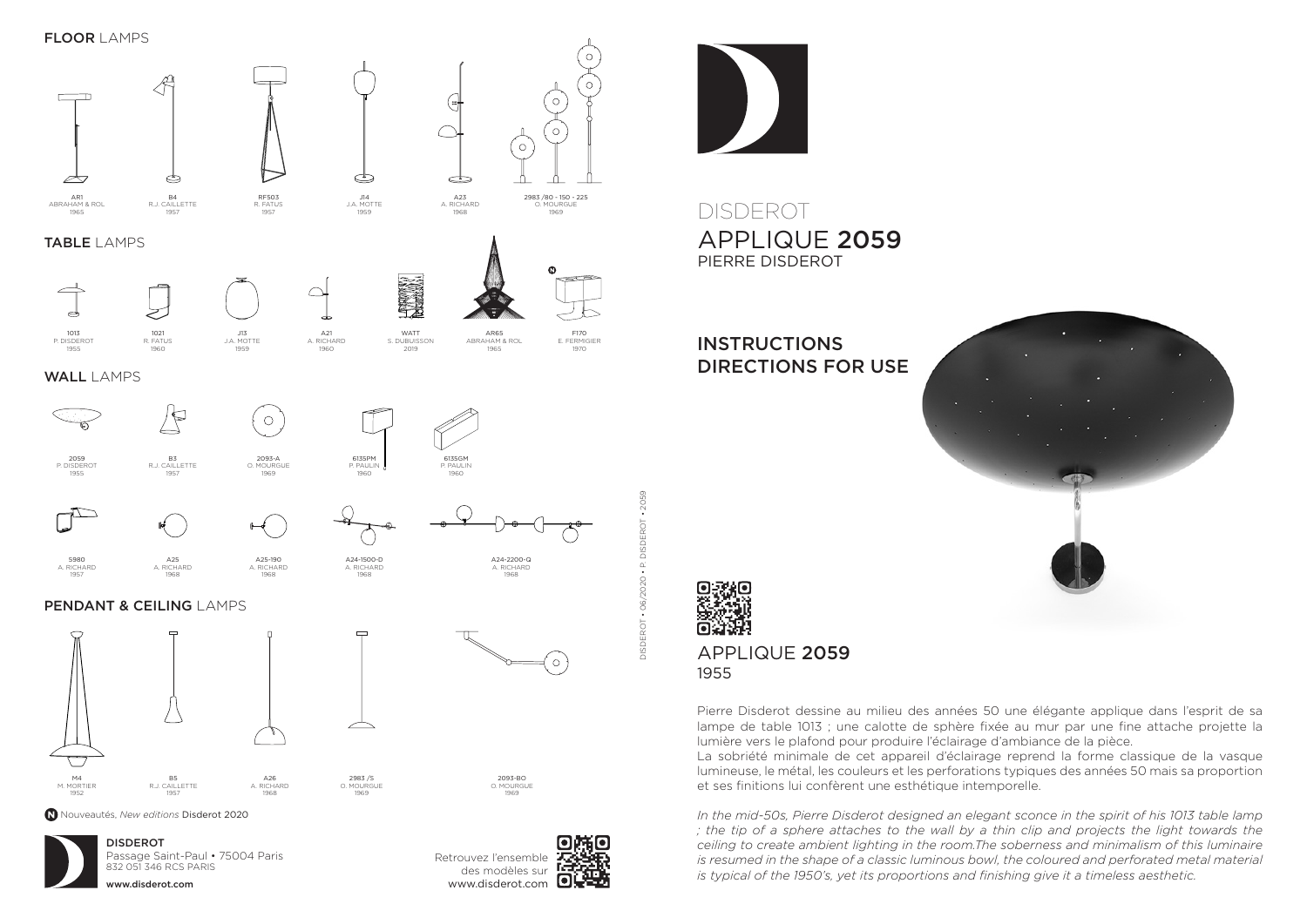





# DISDEROT APPLIQUE 2059 PIERRE DISDEROT

## **INSTRUCTIONS** DIRECTIONS FOR USE

APPLIQUE 2059

1955



#### Pierre Disderot dessine au milieu des années 50 une élégante applique dans l'esprit de sa lampe de table 1013 ; une calotte de sphère fixée au mur par une fine attache projette la lumière vers le plafond pour produire l'éclairage d'ambiance de la pièce.

La sobriété minimale de cet appareil d'éclairage reprend la forme classique de la vasque lumineuse, le métal, les couleurs et les perforations typiques des années 50 mais sa proportion et ses finitions lui confèrent une esthétique intemporelle.

*In the mid-50s, Pierre Disderot designed an elegant sconce in the spirit of his 1013 table lamp ; the tip of a sphere attaches to the wall by a thin clip and projects the light towards the ceiling to create ambient lighting in the room.The soberness and minimalism of this luminaire is resumed in the shape of a classic luminous bowl, the coloured and perforated metal material is typical of the 1950's, yet its proportions and finishing give it a timeless aesthetic.*



www.disderot.com